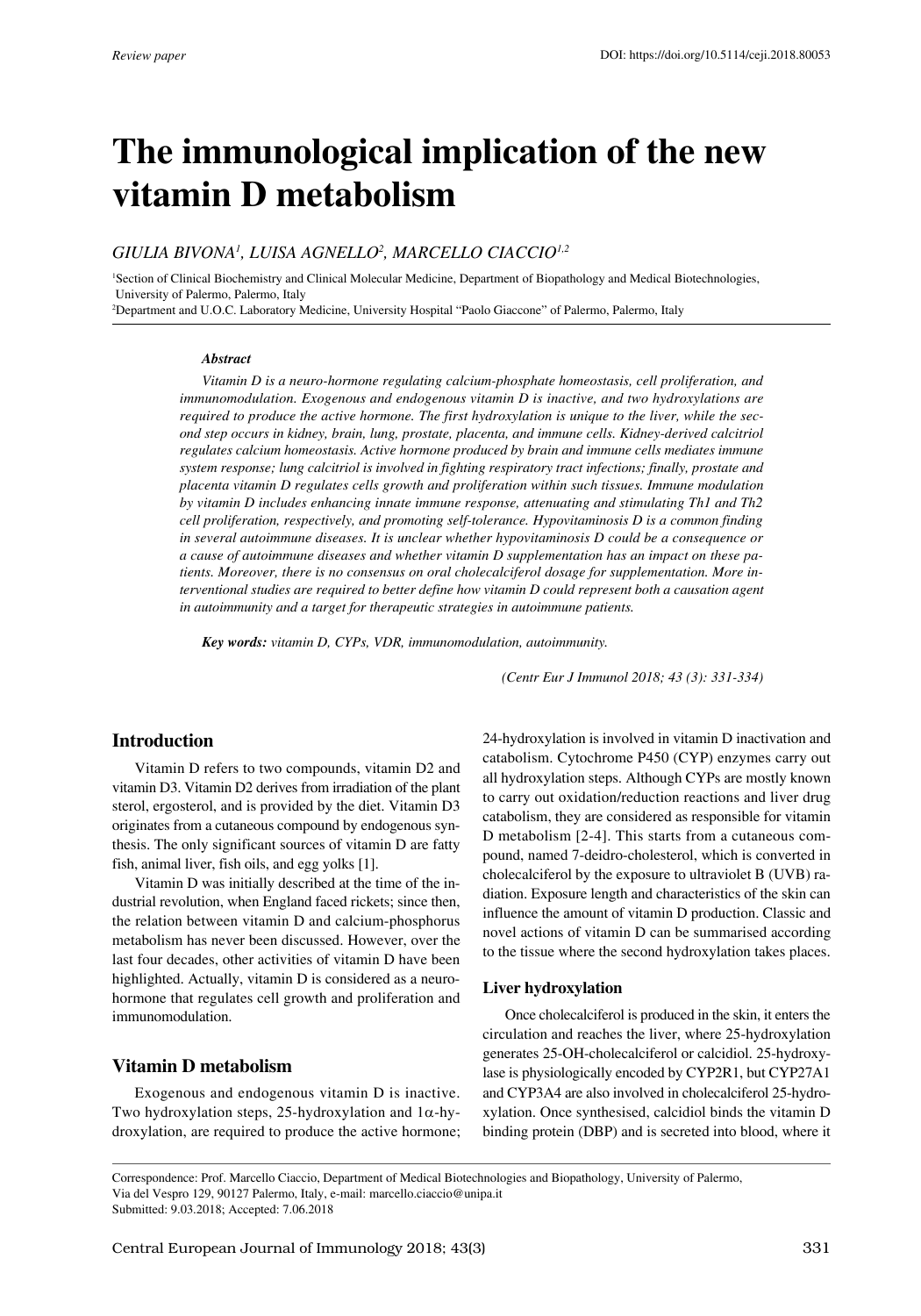# **The immunological implication of the new vitamin D metabolism**

## *Giulia Bivona1 , Luisa Agnello2 , Marcello Ciaccio1,2*

<sup>1</sup>Section of Clinical Biochemistry and Clinical Molecular Medicine, Department of Biopathology and Medical Biotechnologies, University of Palermo, Palermo, Italy

2 Department and U.O.C. Laboratory Medicine, University Hospital "Paolo Giaccone" of Palermo, Palermo, Italy

#### *Abstract*

*Vitamin D is a neuro-hormone regulating calcium-phosphate homeostasis, cell proliferation, and immunomodulation. Exogenous and endogenous vitamin D is inactive, and two hydroxylations are required to produce the active hormone. The first hydroxylation is unique to the liver, while the second step occurs in kidney, brain, lung, prostate, placenta, and immune cells. Kidney-derived calcitriol regulates calcium homeostasis. Active hormone produced by brain and immune cells mediates immune system response; lung calcitriol is involved in fighting respiratory tract infections; finally, prostate and placenta vitamin D regulates cells growth and proliferation within such tissues. Immune modulation by vitamin D includes enhancing innate immune response, attenuating and stimulating Th1 and Th2 cell proliferation, respectively, and promoting self-tolerance. Hypovitaminosis D is a common finding in several autoimmune diseases. It is unclear whether hypovitaminosis D could be a consequence or a cause of autoimmune diseases and whether vitamin D supplementation has an impact on these patients. Moreover, there is no consensus on oral cholecalciferol dosage for supplementation. More interventional studies are required to better define how vitamin D could represent both a causation agent in autoimmunity and a target for therapeutic strategies in autoimmune patients.* 

*Key words: vitamin D, CYPs, VDR, immunomodulation, autoimmunity.*

*(Centr Eur J Immunol 2018; 43 (3): 331-334)*

## **Introduction**

Vitamin D refers to two compounds, vitamin D2 and vitamin D3. Vitamin D2 derives from irradiation of the plant sterol, ergosterol, and is provided by the diet. Vitamin D3 originates from a cutaneous compound by endogenous synthesis. The only significant sources of vitamin D are fatty fish, animal liver, fish oils, and egg yolks [1].

Vitamin D was initially described at the time of the industrial revolution, when England faced rickets; since then, the relation between vitamin D and calcium-phosphorus metabolism has never been discussed. However, over the last four decades, other activities of vitamin D have been highlighted. Actually, vitamin D is considered as a neurohormone that regulates cell growth and proliferation and immunomodulation.

## **Vitamin D metabolism**

Exogenous and endogenous vitamin D is inactive. Two hydroxylation steps, 25-hydroxylation and 1α-hydroxylation, are required to produce the active hormone; 24-hydroxylation is involved in vitamin D inactivation and catabolism. Cytochrome P450 (CYP) enzymes carry out all hydroxylation steps. Although CYPs are mostly known to carry out oxidation/reduction reactions and liver drug catabolism, they are considered as responsible for vitamin D metabolism [2-4]. This starts from a cutaneous compound, named 7-deidro-cholesterol, which is converted in cholecalciferol by the exposure to ultraviolet B (UVB) radiation. Exposure length and characteristics of the skin can influence the amount of vitamin D production. Classic and novel actions of vitamin D can be summarised according to the tissue where the second hydroxylation takes places.

#### **Liver hydroxylation**

Once cholecalciferol is produced in the skin, it enters the circulation and reaches the liver, where 25-hydroxylation generates 25-OH-cholecalciferol or calcidiol. 25-hydroxylase is physiologically encoded by CYP2R1, but CYP27A1 and CYP3A4 are also involved in cholecalciferol 25-hydroxylation. Once synthesised, calcidiol binds the vitamin D binding protein (DBP) and is secreted into blood, where it

Correspondence: Prof. Marcello Ciaccio, Department of Medical Biotechnologies and Biopathology, University of Palermo, Via del Vespro 129, 90127 Palermo, Italy, e-mail: marcello.ciaccio@unipa.it Submitted: 9.03.2018; Accepted: 7.06.2018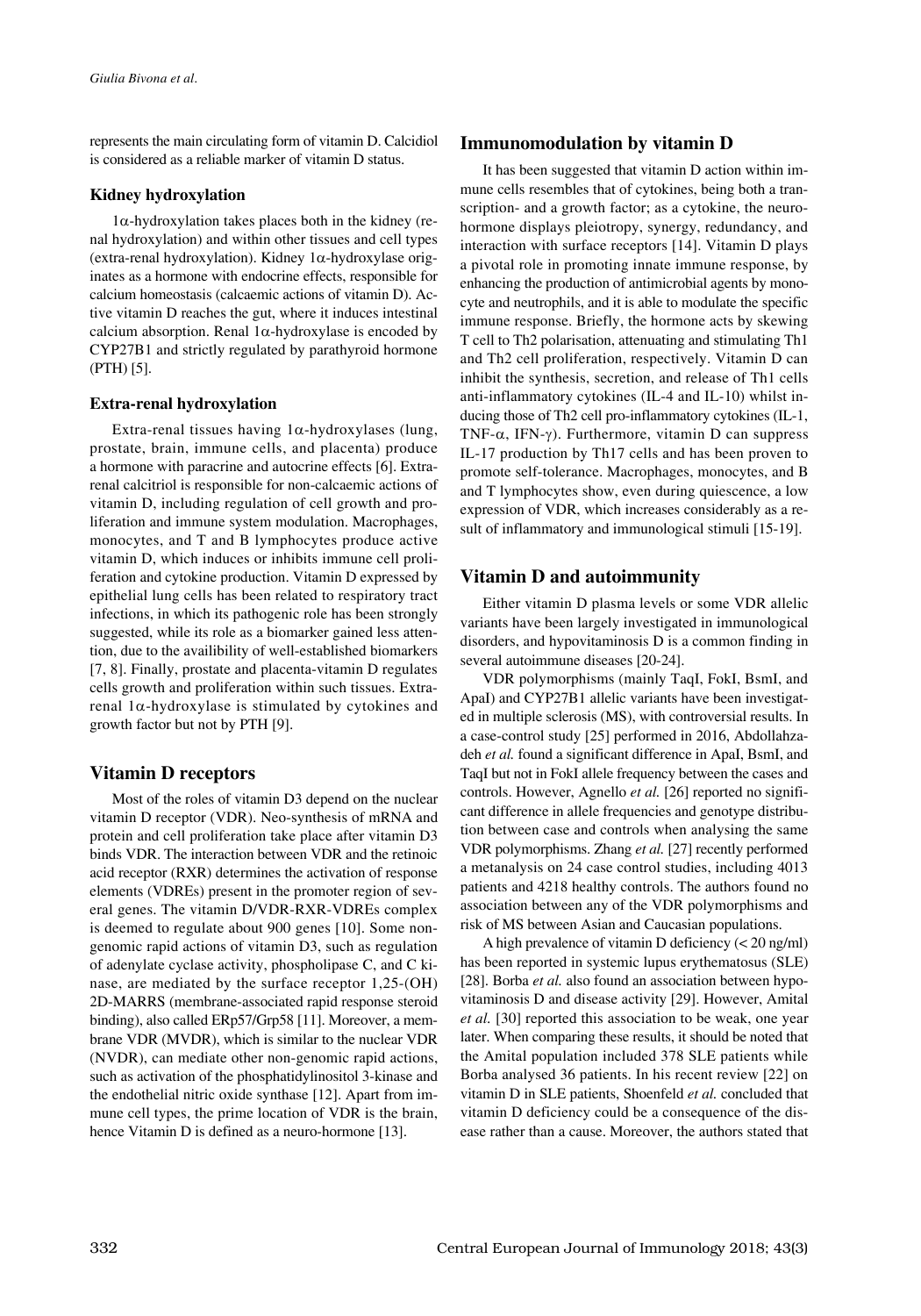represents the main circulating form of vitamin D. Calcidiol is considered as a reliable marker of vitamin D status.

### **Kidney hydroxylation**

1α-hydroxylation takes places both in the kidney (renal hydroxylation) and within other tissues and cell types (extra-renal hydroxylation). Kidney 1α-hydroxylase originates as a hormone with endocrine effects, responsible for calcium homeostasis (calcaemic actions of vitamin D). Active vitamin D reaches the gut, where it induces intestinal calcium absorption. Renal  $1\alpha$ -hydroxylase is encoded by CYP27B1 and strictly regulated by parathyroid hormone (PTH) [5].

### **Extra-renal hydroxylation**

Extra-renal tissues having  $1\alpha$ -hydroxylases (lung, prostate, brain, immune cells, and placenta) produce a hormone with paracrine and autocrine effects [6]. Extrarenal calcitriol is responsible for non-calcaemic actions of vitamin D, including regulation of cell growth and proliferation and immune system modulation. Macrophages, monocytes, and T and B lymphocytes produce active vitamin D, which induces or inhibits immune cell proliferation and cytokine production. Vitamin D expressed by epithelial lung cells has been related to respiratory tract infections, in which its pathogenic role has been strongly suggested, while its role as a biomarker gained less attention, due to the availibility of well-established biomarkers [7, 8]. Finally, prostate and placenta-vitamin D regulates cells growth and proliferation within such tissues. Extrarenal 1α-hydroxylase is stimulated by cytokines and growth factor but not by PTH [9].

## **Vitamin D receptors**

Most of the roles of vitamin D3 depend on the nuclear vitamin D receptor (VDR). Neo-synthesis of mRNA and protein and cell proliferation take place after vitamin D3 binds VDR. The interaction between VDR and the retinoic acid receptor (RXR) determines the activation of response elements (VDREs) present in the promoter region of several genes. The vitamin D/VDR-RXR-VDREs complex is deemed to regulate about 900 genes [10]. Some nongenomic rapid actions of vitamin D3, such as regulation of adenylate cyclase activity, phospholipase C, and C kinase, are mediated by the surface receptor 1,25-(OH) 2D-MARRS (membrane-associated rapid response steroid binding), also called ERp57/Grp58 [11]. Moreover, a membrane VDR (MVDR), which is similar to the nuclear VDR (NVDR), can mediate other non-genomic rapid actions, such as activation of the phosphatidylinositol 3-kinase and the endothelial nitric oxide synthase [12]. Apart from immune cell types, the prime location of VDR is the brain, hence Vitamin D is defined as a neuro-hormone [13].

## **Immunomodulation by vitamin D**

It has been suggested that vitamin D action within immune cells resembles that of cytokines, being both a transcription- and a growth factor; as a cytokine, the neurohormone displays pleiotropy, synergy, redundancy, and interaction with surface receptors [14]. Vitamin D plays a pivotal role in promoting innate immune response, by enhancing the production of antimicrobial agents by monocyte and neutrophils, and it is able to modulate the specific immune response. Briefly, the hormone acts by skewing T cell to Th2 polarisation, attenuating and stimulating Th1 and Th2 cell proliferation, respectively. Vitamin D can inhibit the synthesis, secretion, and release of Th1 cells anti-inflammatory cytokines (IL-4 and IL-10) whilst inducing those of Th2 cell pro-inflammatory cytokines (IL-1, TNF- $\alpha$ , IFN- $\gamma$ ). Furthermore, vitamin D can suppress IL-17 production by Th17 cells and has been proven to promote self-tolerance. Macrophages, monocytes, and B and T lymphocytes show, even during quiescence, a low expression of VDR, which increases considerably as a result of inflammatory and immunological stimuli [15-19].

## **Vitamin D and autoimmunity**

Either vitamin D plasma levels or some VDR allelic variants have been largely investigated in immunological disorders, and hypovitaminosis D is a common finding in several autoimmune diseases [20-24].

VDR polymorphisms (mainly TaqI, FokI, BsmI, and ApaI) and CYP27B1 allelic variants have been investigated in multiple sclerosis (MS), with controversial results. In a case-control study [25] performed in 2016, Abdollahzadeh *et al.* found a significant difference in ApaI, BsmI, and TaqI but not in FokI allele frequency between the cases and controls. However, Agnello *et al.* [26] reported no significant difference in allele frequencies and genotype distribution between case and controls when analysing the same VDR polymorphisms. Zhang *et al.* [27] recently performed a metanalysis on 24 case control studies, including 4013 patients and 4218 healthy controls. The authors found no association between any of the VDR polymorphisms and risk of MS between Asian and Caucasian populations.

A high prevalence of vitamin D deficiency (< 20 ng/ml) has been reported in systemic lupus erythematosus (SLE) [28]. Borba *et al.* also found an association between hypovitaminosis D and disease activity [29]. However, Amital *et al.* [30] reported this association to be weak, one year later. When comparing these results, it should be noted that the Amital population included 378 SLE patients while Borba analysed 36 patients. In his recent review [22] on vitamin D in SLE patients, Shoenfeld *et al.* concluded that vitamin D deficiency could be a consequence of the disease rather than a cause. Moreover, the authors stated that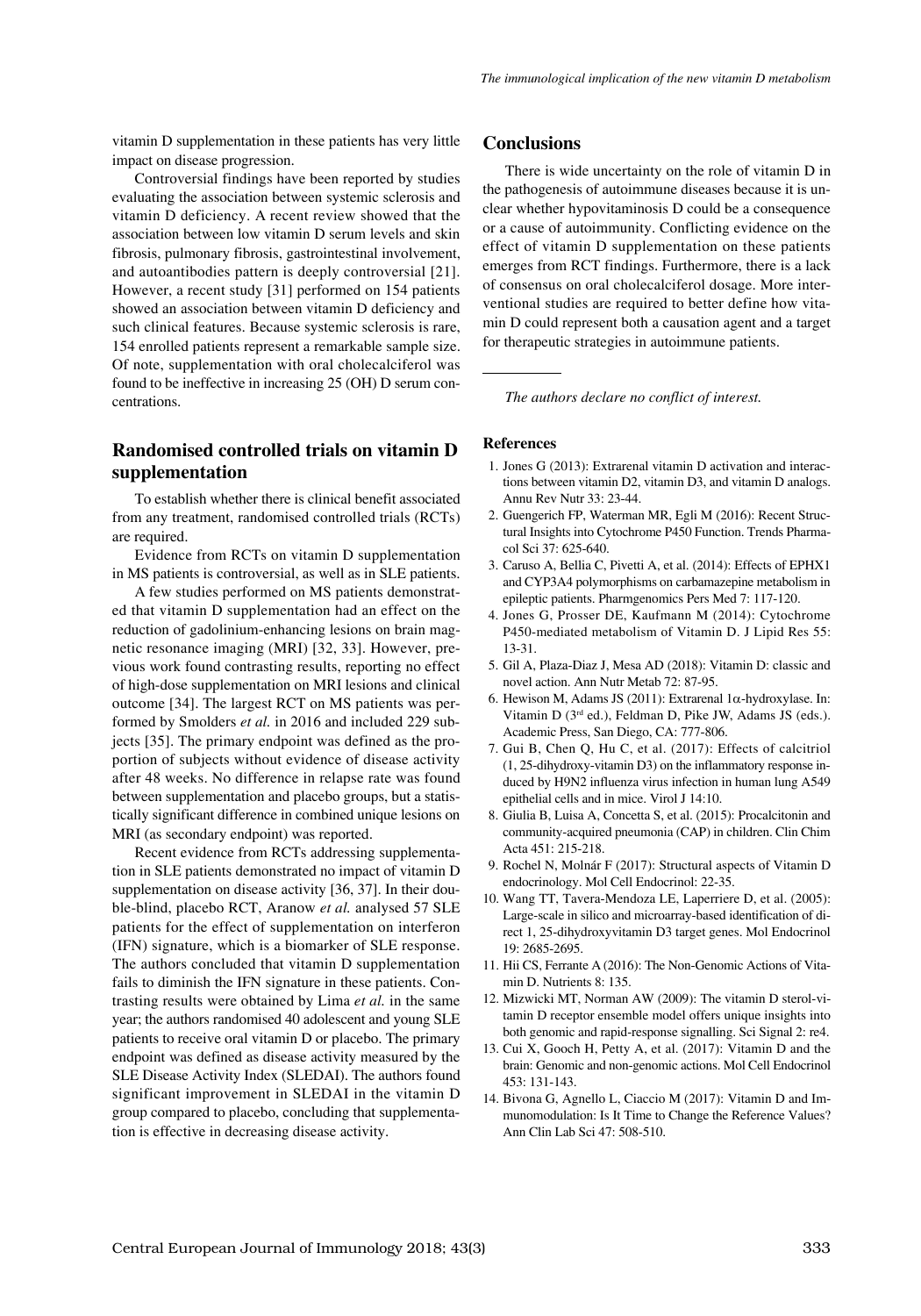vitamin D supplementation in these patients has very little impact on disease progression.

Controversial findings have been reported by studies evaluating the association between systemic sclerosis and vitamin D deficiency. A recent review showed that the association between low vitamin D serum levels and skin fibrosis, pulmonary fibrosis, gastrointestinal involvement, and autoantibodies pattern is deeply controversial [21]. However, a recent study [31] performed on 154 patients showed an association between vitamin D deficiency and such clinical features. Because systemic sclerosis is rare, 154 enrolled patients represent a remarkable sample size. Of note, supplementation with oral cholecalciferol was found to be ineffective in increasing 25 (OH) D serum concentrations.

# **Randomised controlled trials on vitamin D supplementation**

To establish whether there is clinical benefit associated from any treatment, randomised controlled trials (RCTs) are required.

Evidence from RCTs on vitamin D supplementation in MS patients is controversial, as well as in SLE patients.

A few studies performed on MS patients demonstrated that vitamin D supplementation had an effect on the reduction of gadolinium-enhancing lesions on brain magnetic resonance imaging (MRI) [32, 33]. However, previous work found contrasting results, reporting no effect of high-dose supplementation on MRI lesions and clinical outcome [34]. The largest RCT on MS patients was performed by Smolders *et al.* in 2016 and included 229 subjects [35]. The primary endpoint was defined as the proportion of subjects without evidence of disease activity after 48 weeks. No difference in relapse rate was found between supplementation and placebo groups, but a statistically significant difference in combined unique lesions on MRI (as secondary endpoint) was reported.

Recent evidence from RCTs addressing supplementation in SLE patients demonstrated no impact of vitamin D supplementation on disease activity [36, 37]. In their double-blind, placebo RCT, Aranow *et al.* analysed 57 SLE patients for the effect of supplementation on interferon (IFN) signature, which is a biomarker of SLE response. The authors concluded that vitamin D supplementation fails to diminish the IFN signature in these patients. Contrasting results were obtained by Lima *et al.* in the same year; the authors randomised 40 adolescent and young SLE patients to receive oral vitamin D or placebo. The primary endpoint was defined as disease activity measured by the SLE Disease Activity Index (SLEDAI). The authors found significant improvement in SLEDAI in the vitamin D group compared to placebo, concluding that supplementation is effective in decreasing disease activity.

### **Conclusions**

There is wide uncertainty on the role of vitamin D in the pathogenesis of autoimmune diseases because it is unclear whether hypovitaminosis D could be a consequence or a cause of autoimmunity. Conflicting evidence on the effect of vitamin D supplementation on these patients emerges from RCT findings. Furthermore, there is a lack of consensus on oral cholecalciferol dosage. More interventional studies are required to better define how vitamin D could represent both a causation agent and a target for therapeutic strategies in autoimmune patients.

*The authors declare no conflict of interest.*

#### **References**

- 1. Jones G (2013): Extrarenal vitamin D activation and interactions between vitamin D2, vitamin D3, and vitamin D analogs. Annu Rev Nutr 33: 23-44.
- 2. Guengerich FP, Waterman MR, Egli M (2016): Recent Structural Insights into Cytochrome P450 Function. Trends Pharmacol Sci 37: 625-640.
- 3. Caruso A, Bellia C, Pivetti A, et al. (2014): Effects of EPHX1 and CYP3A4 polymorphisms on carbamazepine metabolism in epileptic patients. Pharmgenomics Pers Med 7: 117-120.
- 4. Jones G, Prosser DE, Kaufmann M (2014): Cytochrome P450-mediated metabolism of Vitamin D. J Lipid Res 55: 13-31.
- 5. Gil A, Plaza-Diaz J, Mesa AD (2018): Vitamin D: classic and novel action. Ann Nutr Metab 72: 87-95.
- 6. Hewison M, Adams JS (2011): Extrarenal 1 $\alpha$ -hydroxylase. In: Vitamin D (3rd ed.), Feldman D, Pike JW, Adams JS (eds.). Academic Press, San Diego, CA: 777-806.
- 7. Gui B, Chen Q, Hu C, et al. (2017): Effects of calcitriol (1, 25-dihydroxy-vitamin D3) on the inflammatory response induced by H9N2 influenza virus infection in human lung A549 epithelial cells and in mice. Virol J 14:10.
- 8. Giulia B, Luisa A, Concetta S, et al. (2015): Procalcitonin and community-acquired pneumonia (CAP) in children. Clin Chim Acta 451: 215-218.
- 9. Rochel N, Molnár F (2017): Structural aspects of Vitamin D endocrinology. Mol Cell Endocrinol: 22-35.
- 10. Wang TT, Tavera-Mendoza LE, Laperriere D, et al. (2005): Large-scale in silico and microarray-based identification of direct 1, 25-dihydroxyvitamin D3 target genes. Mol Endocrinol 19: 2685-2695.
- 11. Hii CS, Ferrante A (2016): The Non-Genomic Actions of Vitamin D. Nutrients 8: 135.
- 12. Mizwicki MT, Norman AW (2009): The vitamin D sterol-vitamin D receptor ensemble model offers unique insights into both genomic and rapid-response signalling. Sci Signal 2: re4.
- 13. Cui X, Gooch H, Petty A, et al. (2017): Vitamin D and the brain: Genomic and non-genomic actions. Mol Cell Endocrinol 453: 131-143.
- 14. Bivona G, Agnello L, Ciaccio M (2017): Vitamin D and Immunomodulation: Is It Time to Change the Reference Values? Ann Clin Lab Sci 47: 508-510.